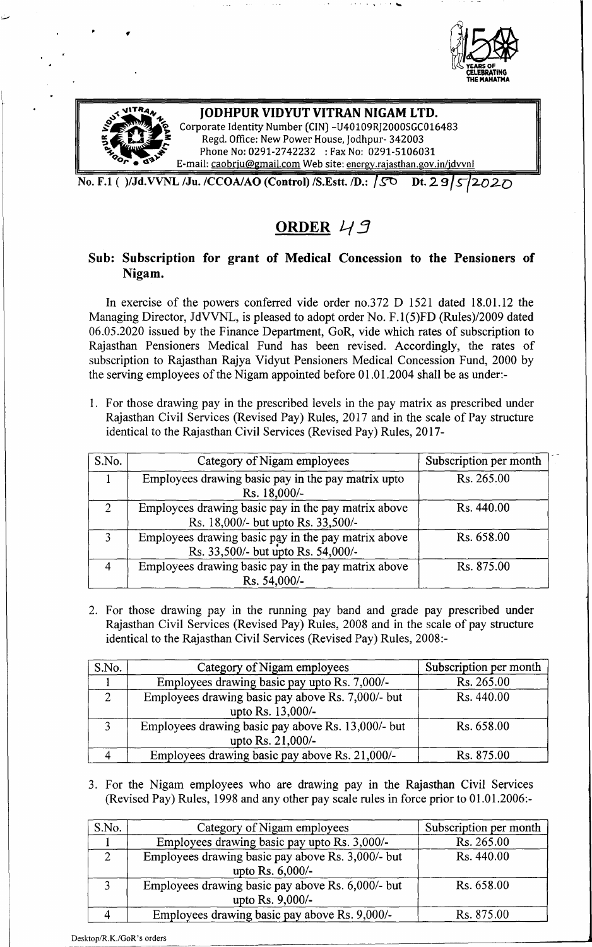



### **JODHPUR VIDYUT VITRAN NIGAM LTD.** Corporate Identity Number (CIN) -U40109RJ2000SGC016483 Regd. Office: New Power House, Jodhpur- 342003 Phone No: 0291-2742232 : Fax No: 0291-5106031 E-mail: [caobrju@gmail.com](mailto:caobrju@gmail.com) Web site: energy.rajasthan.gov.in/jdvvnl

. Since  $\mathcal{L}_\mathbf{a}$  , and the  $\mathcal{L}_\mathbf{a}$ 

No. F.1 ( )/Jd.VVNL /Ju. /CCOA/AO (Control) /S.Estt. /D.: **/SO** Dt. 29 5 2020

# ORDER 49

# Sub: Subscription for grant of Medical Concession to the Pensioners of Nigam.

In exercise of the powers conferred vide order no.372 D 1521 dated 18.01.12 the Managing Director, JdVVNL, is pleased to adopt order No. F.1(5)FD *(Rules)/2009* dated 06.05.2020 issued by the Finance Department, GoR, vide which rates of subscription to Rajasthan Pensioners Medical Fund has been revised. Accordingly, the rates of subscription to Rajasthan Rajya Vidyut Pensioners Medical Concession Fund, 2000 by the serving employees of the Nigam appointed before 01.01.2004 shall be as under:-

1. For those drawing pay in the prescribed levels in the pay matrix as prescribed under Rajasthan Civil Services (Revised Pay) Rules, 2017 and in the scale of Pay structure identical to the Rajasthan Civil Services (Revised Pay) Rules, 2017-

| S.No.         | Category of Nigam employees                                                               | Subscription per month |
|---------------|-------------------------------------------------------------------------------------------|------------------------|
|               | Employees drawing basic pay in the pay matrix upto<br>Rs. 18,000/-                        | Rs. 265.00             |
| $\mathcal{D}$ | Employees drawing basic pay in the pay matrix above<br>Rs. 18,000/- but upto Rs. 33,500/- | Rs. 440.00             |
| $\mathbf{R}$  | Employees drawing basic pay in the pay matrix above<br>Rs. 33,500/- but upto Rs. 54,000/- | Rs. 658.00             |
|               | Employees drawing basic pay in the pay matrix above<br>Rs. 54,000/-                       | Rs. 875.00             |

2. For those drawing pay in the running pay band and grade pay prescribed under Rajasthan Civil Services (Revised Pay) Rules, 2008 and in the scale of pay structure identical to the Rajasthan Civil Services (Revised Pay) Rules, 2008:-

| S.No. | Category of Nigam employees                        | Subscription per month |
|-------|----------------------------------------------------|------------------------|
|       | Employees drawing basic pay upto Rs. 7,000/-       | Rs. 265.00             |
|       | Employees drawing basic pay above Rs. 7,000/- but  | Rs. 440.00             |
|       | upto Rs. 13,000/-                                  |                        |
|       | Employees drawing basic pay above Rs. 13,000/- but | Rs. 658.00             |
|       | upto Rs. 21,000/-                                  |                        |
|       | Employees drawing basic pay above Rs. 21,000/-     | Rs. 875.00             |

3. For the Nigam employees who are drawing pay in the Rajasthan Civil Services (Revised Pay) Rules, 1998 and any other pay scale rules in force prior to 01.01.2006:-

| S.No.         | Category of Nigam employees                                           | Subscription per month |
|---------------|-----------------------------------------------------------------------|------------------------|
|               | Employees drawing basic pay upto Rs. 3,000/-                          | Rs. 265.00             |
| $\mathcal{D}$ | Employees drawing basic pay above Rs. 3,000/- but<br>upto Rs. 6,000/- | Rs. 440.00             |
| $\mathbf{R}$  | Employees drawing basic pay above Rs. 6,000/- but<br>upto Rs. 9,000/- | Rs. 658.00             |
|               | Employees drawing basic pay above Rs. 9,000/-                         | Rs. 875.00             |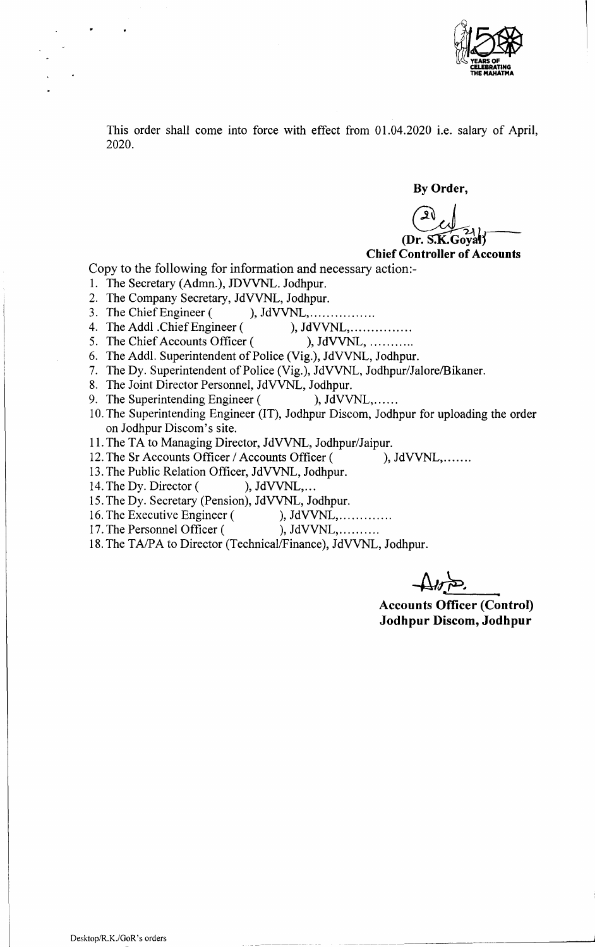

This order shall come into force with effect from 01.04.2020 i.e. salary of April, 2020.

By Order,

.Goval1

Chief Controller of Accounts

Copy to the following for information and necessary action:-

1. The Secretary (Admn.), JDVVNL. Jodhpur.

2. The Company Secretary, JdVVNL, Jodhpur.

3. The Chief Engineer ( ), JdVVNL, ... ... ... .......

4. The Addl .Chief Engineer (), JdVVNL, ... ... ... ........

- 5. The Chief Accounts Officer ( ), JdVVNL, ...........
- 6. The Addl. Superintendent of Police (Vig.), JdVVNL, Jodhpur.
- 7. The Dy. Superintendent of Police (Vig.), JdVVNL, Jodhpur/Jalore/Bikaner,
- 8. The Joint Director Personnel, JdVVNL, Jodhpur.
- 9. The Superintending Engineer ( ), JdVVNL,......
- 10.The Superintending Engineer (IT), Jodhpur Discom, Jodhpur for uploading the order on Jodhpur Discom's site.
- 11.The TA to Managing Director, JdVVNL, Jodhpur/Jaipur.
- 12. The Sr Accounts Officer / Accounts Officer ( ), JdVVNL,.......
- 13.The Public Relation Officer, JdVVNL, Jodhpur.
- 14. The Dy. Director ( ), JdVVNL,...
- 15.The Dy. Secretary (Pension), JdVVNL, Jodhpur.
- 16. The Executive Engineer ( ), JdVVNL, ... ... ... ...
- 17. The Personnel Officer ( ), JdVVNL, ... ... ...
- 18. The TA/PA to Director (Technical/Finance), JdVVNL, Jodhpur.

*-AI?ro~*

Accounts Officer (Control) Jodhpur Discom, Jodhpur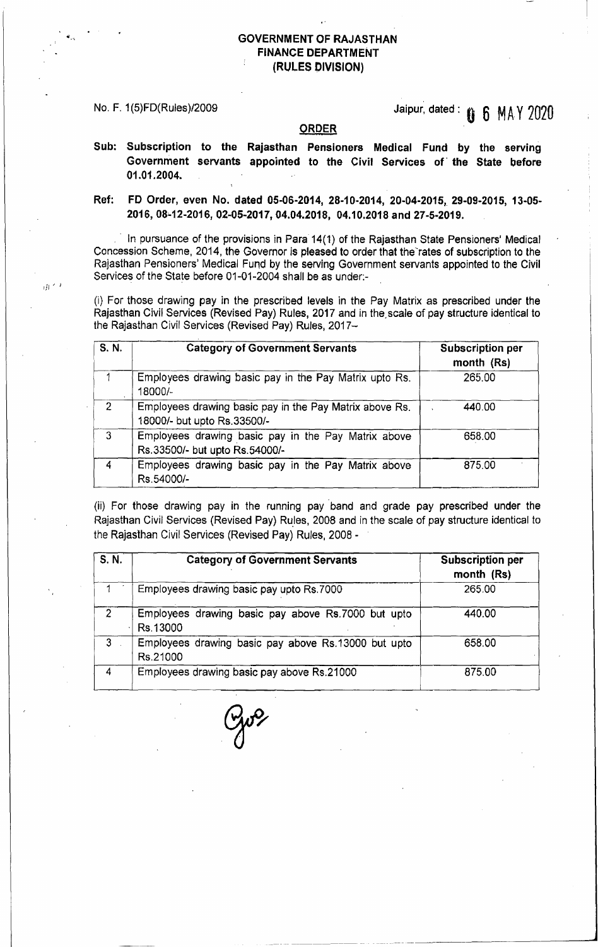$\hat{y}$ 

# No. F. 1(5)FD(Rules)/2009 **State of the Control of Control 15 MAY 2020**

#### **ORDER**

Sub: Subscription to the Rajasthan Pensioners Medical Fund by the serving Government servants appointed to the Civil Services of' the State before 01.01.2004.

## Ref: FD Order, even No. dated 05-06-2014, 28-10-2014, 20-04-2015, 29-09-2015, 13-05- 2016,08-12-2016,02-05-2017,04.04.2018, 04.10.2018 and 27-5-2019.

In pursuance of the provisions in Para 14(1) of the Rajasthan State Pensioners' Medical Concession Scheme, 2014, the Governor is pleased to order that the'rates of subscription to the Rajasthan Pensioners' Medical Fund by the serving Government servants appointed to the Civil Services of the State before 01-01-2004 shall be as under.-

(i) For those drawing pay in the prescribed levels in the Pay Matrix as prescribed under the Rajasthan Civil Services (Revised Pay) Rules, 2017 and in the scale of pay structure identical to the Rajasthan Civil Services (Revised Pay) Rules, 2017-

| S. N.          | <b>Category of Government Servants</b>                                                 | <b>Subscription per</b><br>month (Rs) |
|----------------|----------------------------------------------------------------------------------------|---------------------------------------|
|                | Employees drawing basic pay in the Pay Matrix upto Rs.<br>18000/-                      | 265.00                                |
| $\overline{2}$ | Employees drawing basic pay in the Pay Matrix above Rs.<br>18000/- but upto Rs.33500/- | 440.00                                |
| 3              | Employees drawing basic pay in the Pay Matrix above<br>Rs.33500/- but upto Rs.54000/-  | 658.00                                |
| 4              | Employees drawing basic pay in the Pay Matrix above<br>Rs.54000/-                      | 875.00                                |

(ii) For those drawing pay in the running pay' band and grade pay prescribed under the Rajasthan Civil Services (Revised Pay) Rules, 2008 and in the scale of pay structure identical to the Rajasthan Civil Services (Revised Pay) Rules, 2008 -

| S. N.          | <b>Category of Government Servants</b>                          | <b>Subscription per</b><br>month (Rs) |
|----------------|-----------------------------------------------------------------|---------------------------------------|
|                | Employees drawing basic pay upto Rs.7000                        | 265.00                                |
| -2             | Employees drawing basic pay above Rs.7000 but upto<br>Rs.13000  | 440.00                                |
| 3 <sup>1</sup> | Employees drawing basic pay above Rs.13000 but upto<br>Rs.21000 | 658.00                                |
| 4              | Employees drawing basic pay above Rs.21000                      | 875.00                                |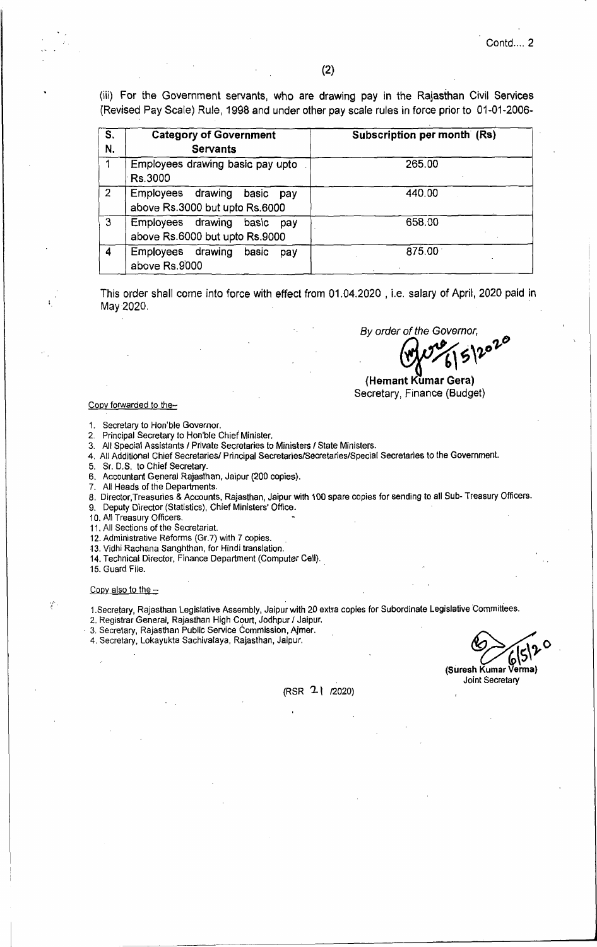(iii) For the Government servants, who are drawing pay in the Rajasthan Civil Services {Revised Pay Scale) Rule, 1998 and under other pay scale rules in force prior to 01-01-2006-

| S.<br>N.       | <b>Category of Government</b><br><b>Servants</b>                 | Subscription per month (Rs) |
|----------------|------------------------------------------------------------------|-----------------------------|
|                | Employees drawing basic pay upto<br>Rs.3000                      | 265.00                      |
| $\overline{2}$ | Employees drawing<br>basic pay<br>above Rs.3000 but upto Rs.6000 | 440.00                      |
| 3              | Employees drawing<br>basic pay<br>above Rs.6000 but upto Rs.9000 | 658.00                      |
| 4              | Employees drawing<br>basic<br>pay<br>above Rs.9000               | 875.00                      |

This order shall come into force with effect from 01.04.2020 , i.e. salary of April, 2020 paid in May 2020.

*By order of the Governor,*

 $W^{2}$  (5)  $20^{7}$ 

(Hemant Kumar Gera) Secretary, Finance (Budget)

#### Copy forwarded to the-

1. Secretary to Hon'ble Governor.<br>2. Principal Secretary to Hon'ble 0

2. Principal Secretary to Hon'ble Chief Minister.

3. All Special Assistants *I* Private Secretaries to Ministers *I* State Ministers.

4. All Additional Chief Secretaries/ Principal Secretaries/Secretaries/Special Secretaries to the Government.

5. Sr. D.S. to Chief Secretary.

6. Accountant General Rajasthan, Jaipur (200 copies).

7. All Heads of the Departments.

8. Director,Treasuries & Accounts, Rajasthan, Jaipur with 100 spare copies for sending to all Sub- Treasury Officers.

9. Deputy Director (Statistics), Chief Ministers' Office.

10. All Treasury Officers.

11. All Sections of the Secretariat.

12. Administrative Reforms (Gr.7) with 7 copies.

13. Vidhi Rachana Sanghthan, for Hindi translation.

14. Technical Director, Finance Department (Computer Ceil).

15. Guard File.

#### Copy also to the  $-$

Y

t.secretary, Rajasthan Legislative Assembly, Jaipur with 20 extra copies for Subordinate Legislative Committees.

2. Registrar General, Rajasthan High Court, Jodhpur *I* Jaipur .

. 3. Secretary, Rajasthan Public Service Commission, Ajmer.

4. Secretary, Lokayukta Sachivalaya, Rajasthan, Jaipur.

 $\frac{1}{\sqrt{2}}$ (Suresh Kumar Venna) Joint Secretary

(RSR '2\ *12020)*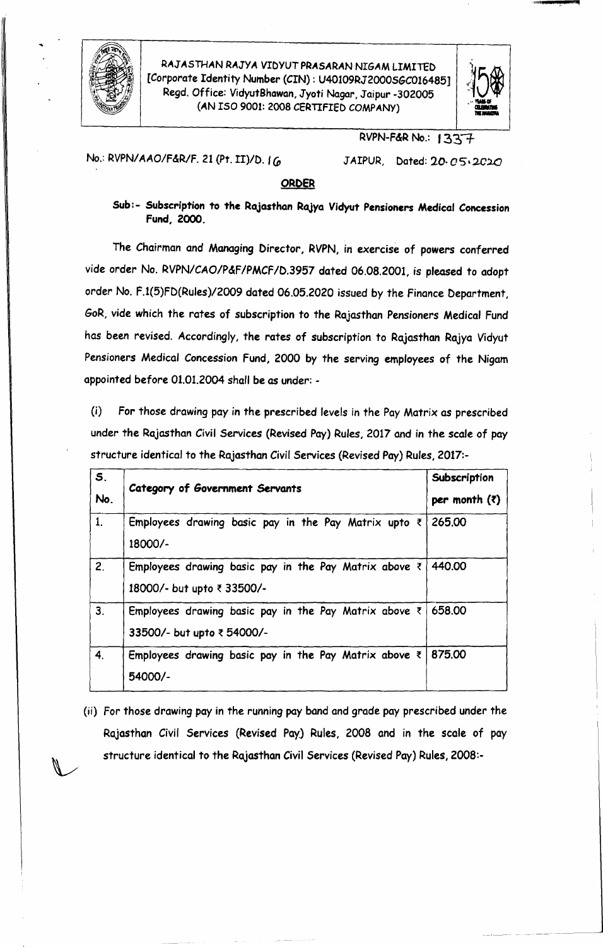

RAJASTHAN RAJYA VIDYUT PRASARAN NIGAM LIMITED *E*Corporate Identity Number (CIN) : U40109RJ2000SGC016485] ',<br>" Regd. Office: VidyutBhawan, Jyoti Nagar, Jaipur -302005 (AN ISO 9001: 2008 CERTIFIED COMPANY)



>!llMl r.iliii!

## RVPN-F&R No.: 1337

No.: RVPN/AAO/F&R/F. 21 (Pt. II)/D. *<sup>I</sup> CD*

JAIPUR, Dated: 20· *05.2CUJ*

### ORDER

Sub:- Subscription to the Rajasthan RaJya Vidyut Pensioners Medical Concession Fund, 2000.

The Chairman and Managing Director, RVPN, in exercise of powers conferred vide order No. RVPN/CAO/P&F/PMCF/D.3957 dated 06.08.2001, is pleased to adopt order No. F.1(5)FD(Rules)/2009 dated 06.05.2020 issued by the Finance Department, GoR, vide which the rates of subscription to the Rajasthan Pensioners Medical Fund has been revised. Accordingly, the rates of subscription to Rajasthan Rajya Vidyut Pensioners Medical Concession Fund, 2000 by the serving employees of the Nigam appointed before 01.01.2004 shall be as under: -

(i) For those drawing pay in the prescribed levels in the Pay Matrix as prescribed under the Rajasthan *Civil* Services (Revised Pay) Rules, 2017 and in the scale of pay structure identical to the Rajasthan Civil Services (Revised Pay) Rules, 2017:-

| S <sub>1</sub><br>No. | Category of Government Servants                                                             | Subscription<br>per month $(7)$ |
|-----------------------|---------------------------------------------------------------------------------------------|---------------------------------|
| 1 <sub>1</sub>        | Employees drawing basic pay in the Pay Matrix upto $\bar{z}$<br>18000/-                     | 265.00                          |
| 2.                    | Employees drawing basic pay in the Pay Matrix above $\bar{z}$<br>18000/- but upto ₹ 33500/- | 440.00                          |
| 3.                    | Employees drawing basic pay in the Pay Matrix above $\leq$<br>33500/- but upto ₹ 54000/-    | 658.00                          |
| 4.                    | Employees drawing basic pay in the Pay Matrix above $\le$  <br>54000/-                      | 875.00                          |

(ii) For those drawing pay in the running pay band and grade pay prescribed under the Rajasthan *Civil* Services (Revised Pay.) Rules, 2008 and in the scale of pay structure identical to the Rajasthan *Civil* Services (Revised Pay) Rules, 2008:-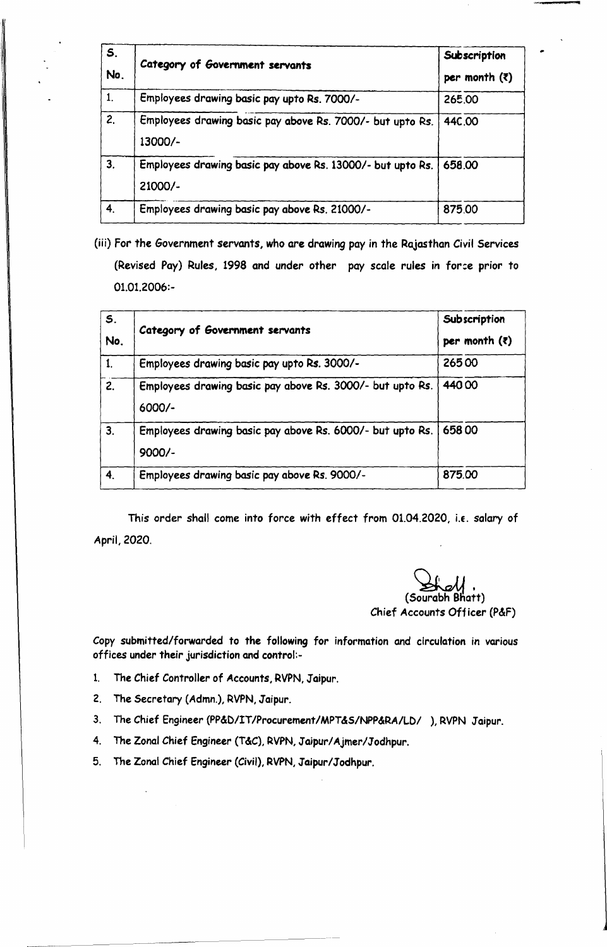| <b>S.</b><br>No. | Category of Government servants                                       | Subscription<br>per month $(3)$ |
|------------------|-----------------------------------------------------------------------|---------------------------------|
| 1.               | Employees drawing basic pay upto Rs. 7000/-                           | 265.00                          |
| 2.               | Employees drawing basic pay above Rs. 7000/- but upto Rs.<br>13000/-  | 44C.OO                          |
| 3.               | Employees drawing basic pay above Rs. 13000/- but upto Rs.<br>21000/- | 658.00                          |
| 4.               | Employees drawing basic pay above Rs. 21000/-                         | 875.00                          |

(iii) For the Government servants, who are drawing pay in the Rajasthan Civil Services (Revised Pay) Rules, 1998 and under other pay scale rules in force prior to 01.01.2006:-

| S <sub>r</sub><br>No. | Category of Government servants                                       | Subscription<br>per month $(7)$ |
|-----------------------|-----------------------------------------------------------------------|---------------------------------|
|                       | Employees drawing basic pay upto Rs. 3000/-                           | 26500                           |
| 2.                    | Employees drawing basic pay above Rs. 3000/- but upto Rs.<br>6000/-   | 44000                           |
| 3.                    | Employees drawing basic pay above Rs. 6000/- but upto Rs.<br>$9000/-$ | 65800                           |
| 4.                    | Employees drawing basic pay above Rs. 9000/-                          | 875.00                          |

This order shall come into force with effect from 01.04.2020, i.e. salary of April, 2020.

(Sourabh Bhatt Chief Accounts Off icer (P&F)

**.'** "....•.

Copy submitted/forwarded to the following for information and circulation in various offices under their jurisdiction and control:-

- 1. The Chief Controller of Accounts, RVPN, Jaipur.
- 2. The Secretary (Admn.), RVPN,Jaipur.
- 3. The Chief Engineer (PP&D/IT/Procurement/MPT&S/NPP&RA/LD/ ), RVPN Jaipur.
- 4. The Zonal Chief Engineer(T&C), RVPN,Jaipur/Ajmer/Jodhpur.
- 5. The Zonal Chief Engineer (Civil), RVPN,Jaipur/Jodhpur.